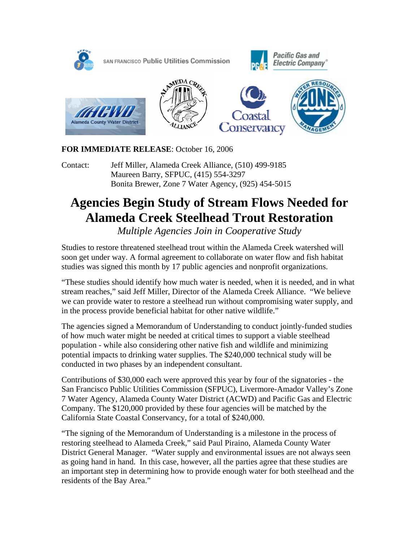

# **FOR IMMEDIATE RELEASE**: October 16, 2006

Contact: Jeff Miller, Alameda Creek Alliance, (510) 499-9185 Maureen Barry, SFPUC, (415) 554-3297 Bonita Brewer, Zone 7 Water Agency, (925) 454-5015

# **Agencies Begin Study of Stream Flows Needed for Alameda Creek Steelhead Trout Restoration**

*Multiple Agencies Join in Cooperative Study* 

Studies to restore threatened steelhead trout within the Alameda Creek watershed will soon get under way. A formal agreement to collaborate on water flow and fish habitat studies was signed this month by 17 public agencies and nonprofit organizations.

"These studies should identify how much water is needed, when it is needed, and in what stream reaches," said Jeff Miller, Director of the Alameda Creek Alliance. "We believe we can provide water to restore a steelhead run without compromising water supply, and in the process provide beneficial habitat for other native wildlife."

The agencies signed a Memorandum of Understanding to conduct jointly-funded studies of how much water might be needed at critical times to support a viable steelhead population - while also considering other native fish and wildlife and minimizing potential impacts to drinking water supplies. The \$240,000 technical study will be conducted in two phases by an independent consultant.

Contributions of \$30,000 each were approved this year by four of the signatories - the San Francisco Public Utilities Commission (SFPUC), Livermore-Amador Valley's Zone 7 Water Agency, Alameda County Water District (ACWD) and Pacific Gas and Electric Company. The \$120,000 provided by these four agencies will be matched by the California State Coastal Conservancy, for a total of \$240,000.

"The signing of the Memorandum of Understanding is a milestone in the process of restoring steelhead to Alameda Creek," said Paul Piraino, Alameda County Water District General Manager. "Water supply and environmental issues are not always seen as going hand in hand. In this case, however, all the parties agree that these studies are an important step in determining how to provide enough water for both steelhead and the residents of the Bay Area."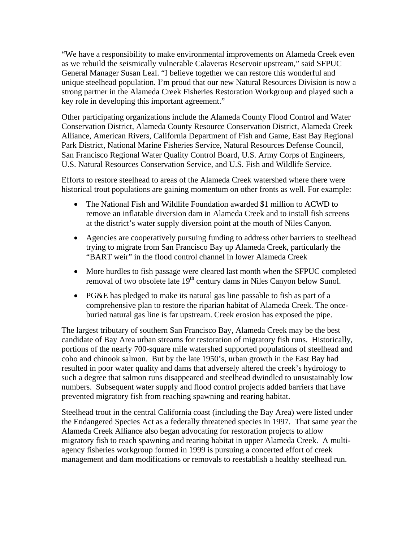"We have a responsibility to make environmental improvements on Alameda Creek even as we rebuild the seismically vulnerable Calaveras Reservoir upstream," said SFPUC General Manager Susan Leal. "I believe together we can restore this wonderful and unique steelhead population. I'm proud that our new Natural Resources Division is now a strong partner in the Alameda Creek Fisheries Restoration Workgroup and played such a key role in developing this important agreement."

Other participating organizations include the Alameda County Flood Control and Water Conservation District, Alameda County Resource Conservation District, Alameda Creek Alliance, American Rivers, California Department of Fish and Game, East Bay Regional Park District, National Marine Fisheries Service, Natural Resources Defense Council, San Francisco Regional Water Quality Control Board, U.S. Army Corps of Engineers, U.S. Natural Resources Conservation Service, and U.S. Fish and Wildlife Service.

Efforts to restore steelhead to areas of the Alameda Creek watershed where there were historical trout populations are gaining momentum on other fronts as well. For example:

- The National Fish and Wildlife Foundation awarded \$1 million to ACWD to remove an inflatable diversion dam in Alameda Creek and to install fish screens at the district's water supply diversion point at the mouth of Niles Canyon.
- Agencies are cooperatively pursuing funding to address other barriers to steelhead trying to migrate from San Francisco Bay up Alameda Creek, particularly the "BART weir" in the flood control channel in lower Alameda Creek
- More hurdles to fish passage were cleared last month when the SFPUC completed removal of two obsolete late  $19<sup>th</sup>$  century dams in Niles Canyon below Sunol.
- PG&E has pledged to make its natural gas line passable to fish as part of a comprehensive plan to restore the riparian habitat of Alameda Creek. The onceburied natural gas line is far upstream. Creek erosion has exposed the pipe.

The largest tributary of southern San Francisco Bay, Alameda Creek may be the best candidate of Bay Area urban streams for restoration of migratory fish runs. Historically, portions of the nearly 700-square mile watershed supported populations of steelhead and coho and chinook salmon. But by the late 1950's, urban growth in the East Bay had resulted in poor water quality and dams that adversely altered the creek's hydrology to such a degree that salmon runs disappeared and steelhead dwindled to unsustainably low numbers. Subsequent water supply and flood control projects added barriers that have prevented migratory fish from reaching spawning and rearing habitat.

Steelhead trout in the central California coast (including the Bay Area) were listed under the Endangered Species Act as a federally threatened species in 1997. That same year the Alameda Creek Alliance also began advocating for restoration projects to allow migratory fish to reach spawning and rearing habitat in upper Alameda Creek. A multiagency fisheries workgroup formed in 1999 is pursuing a concerted effort of creek management and dam modifications or removals to reestablish a healthy steelhead run.